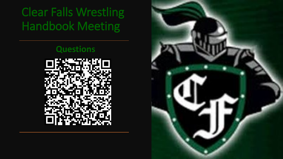### **Questions**



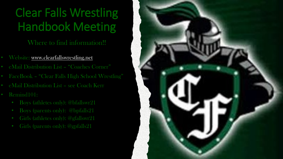Where to find information!!

- Website: [www.clearfallswrestling.net](http://www.clearfallswrestling.net/)
- eMail Distribution List "Coaches Corner"
- FaceBook "Clear Falls High School Wrestling"
- eMail Distribution List see Coach Kerr
- Remind101:
	- Boys (athletes only): @bfallswr21
	- Boys (parents only): @bpfalls21
	- Girls (athletes only): @gfallswr21
	- Girls (parents only): @gpfalls21

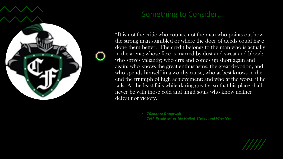

### Something to Consider….

"It is not the critic who counts, not the man who points out how the strong man stumbled or where the doer of deeds could have done them better. The credit belongs to the man who is actually in the arena; whose face is marred by dust and sweat and blood; who strives valiantly; who errs and comes up short again and again; who knows the great enthusiasms, the great devotion, and who spends himself in a worthy cause, who at best knows in the end the triumph of high achievement; and who at the worst, if he fails. At the least fails while daring greatly; so that his place shall never be with those cold and timid souls who know neither defeat nor victory."

> • *Theodore Roosevelt, 26th President of the United States and Wrestler*

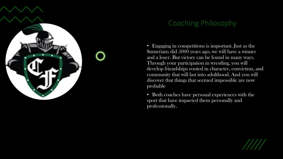

### Coaching Philosophy

• Engaging in competitions is important. Just as the Sumerians did 5000 years ago, we will have a winner and a loser. But victory can be found in many ways. Through your participation in wrestling, you will develop friendships rooted in character, conviction, and community that will last into adulthood. And you will discover that things that seemed impossible are now probable.

• Both coaches have personal experiences with the sport that have impacted them personally and professionally.

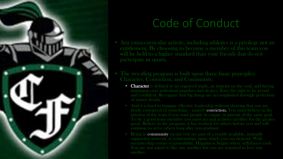

### Code of Conduct

- Any extra-curricular activity, including athletics is a privilege not an entitlement. By choosing to become a member of this team you will be held to a higher standard than your friends that do not participate in sports.
- The wrestling program is built upon three basic principles: Character, Conviction, and Community.
	- **Character** is defined as an engraved mark, an imprint on the soul, and having dominion over individual impulses and desires. Earn the right to be proud and confident. Recognize that big things are accomplished through perfection of minor details.
	- And it is hard to imagine effective leadership without showing that you are firmly convinced of something - namely **conviction.** You must believe in the good. Believe in the program, it has worked for others before you and will continue to serve others long after you graduate.
	- Being in community means you are part of a readily available, mutually supportive network of relationships upon which you can depend. With membership comes responsibility. Happiness begins where selfishness ends. another.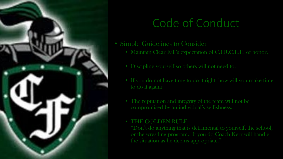

## Code of Conduct

- Simple Guidelines to Consider
	- Maintain Clear Fall's expectation of C.I.R.C.L.E. of honor.
	- Discipline yourself so others will not need to.
	- If you do not have time to do it right, how will you make time to do it again?
	- The reputation and integrity of the team will not be compromised by an individual's selfishness.

#### • THE GOLDEN RULE:

"Don't do anything that is detrimental to yourself, the school, or the wrestling program. If you do Coach Kerr will handle the situation as he deems appropriate."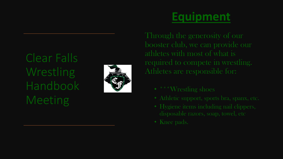

## **Equipment**

Through the generosity of our booster club, we can provide our athletes with most of what is required to compete in wrestling. Athletes are responsible for:

- 
- 
- 
- Knee pads.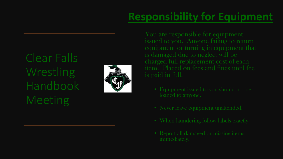## **Responsibility for Equipment**

Clear Falls Wrestling Handbook **Meeting** 



item. Placed on fees and fines until fee

- loaned to anyone.
- 
- 
- Report all damaged or missing items immediately.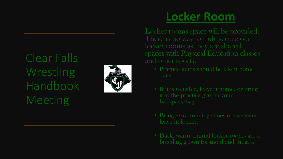

## **Locker Room**

Locker rooms space will be provided. spaces with Physical Education classes

- 
- 
- Bring extra running shoes or sweatshirt leave in locker.
-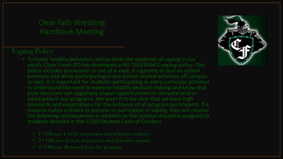### Vaping Policy

- To foster healthy behaviors and to deter the epidemic of vaping in our youth, Clear Creek ISD has developed a NO TOLERANCE vaping policy. This policy includes possession or use of a vape, E-cigarette or Juul on school premises and while participating in any school related activities off campus as well. It is important for students participating in extra-curricular activities to understand the need to exercise healthy decision making and know that poor decisions can negatively impact opportunities to compete and/or participate in our programs. We want it to be clear that we have high standards and expectations for the behavior of all program participants. If a student makes a choice to possess or participate in vaping, they will receive the following consequences in addition to the campus discipline assigned to students detailed in the CCISD Student Code of Conduct
	-
	-
	- 3<sup>rd</sup> Offense: Removal from the program

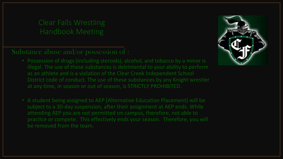### Substance abuse and/or possession of :

- Possession of drugs (including steroids), alcohol, and tobacco by a minor is illegal. The use of these substances is detrimental to your ability to perform as an athlete and is a violation of the Clear Creek Independent School District code of conduct. The use of these substances by any Knight wrestler at any time, in season or out of season, is STRICTLY PROHIBITED.
- A student being assigned to AEP (Alternative Education Placement) will be subject to a 30-day suspension, after their assignment at AEP ends. While attending AEP you are not permitted on campus, therefore, not able to practice or compete. This effectively ends your season. Therefore, you will be removed from the team.

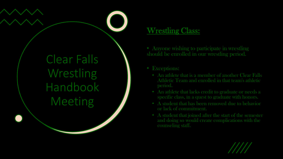### Wrestling Class:

• Anyone wishing to participate in wrestling should be enrolled in our wrestling period.

- Exceptions:
	- An athlete that is a member of another Clear Falls Athletic Team and enrolled in that team's athletic
	- An athlete that lacks credit to graduate or needs a specific class, in a quest to graduate with honors.
	- A student that has been removed due to behavior or lack of commitment.
	- A student that joined after the start of the semester and doing so would create complications with the counseling staff.

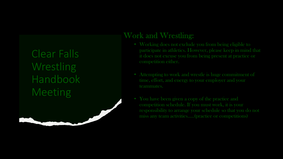### **Work and Wrestling:**

- Working does not exclude you from being eligible to participate in athletics. However, please keep in mind that competition either.
- Attempting to work and wrestle is huge commitment of time, effort, and energy to your employer and your teammates.
- You have been given a copy of the practice and competition schedule. If you must work, it is your responsibility to arrange your schedule so that you do not miss any team activities…..(practice or competitions)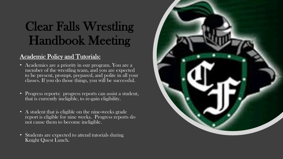#### Academic Policy and Tutorials:

- Academics are a priority in our program. You are a member of the wrestling team, and you are expected to be present, prompt, prepared, and polite in all your classes. If you do those things, you will be successful.
- Progress reports: progress reports can assist a student, that is currently ineligible, to re-gain eligibility.
- A student that is eligible on the nine-weeks grade report is eligible for nine weeks. Progress reports do not cause them to become ineligible.
- Students are expected to attend tutorials during Knight Quest Lunch.

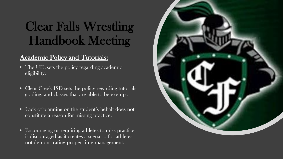#### Academic Policy and Tutorials:

- The UIL sets the policy regarding academic eligibility.
- Clear Creek ISD sets the policy regarding tutorials, grading, and classes that are able to be exempt.
- Lack of planning on the student's behalf does not constitute a reason for missing practice.
- Encouraging or requiring athletes to miss practice is discouraged as it creates a scenario for athletes not demonstrating proper time management.

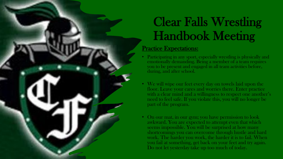#### Practice Expectations:

- Participating in any sport, especially wrestling is physically and emotionally demanding. Being a member of a team requires you to be present and engaged in all team activities before, during, and after school.
- We will wipe our feet every day on towels laid upon the floor. Leave your cares and worries there. Enter practice with a clear mind and a willingness to respect one another's need to feel safe. If you violate this, you will no longer be part of the program.
- On our mat, in our gym; you have permission to look awkward. You are expected to attempt even that which seems impossible. You will be surprised at how many shortcomings you can overcome through hustle and hard work. The harder you work, the harder it is to fail. When you fail at something, get back on your feet and try again. Do not let yesterday take up too much of today.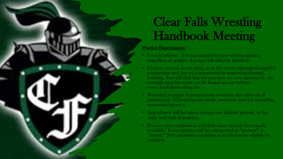#### Practice Expectations:

- I coach athletes. It is not unusual to have athletes training regardless of gender. Groups will often be blended.
- I believe success in wrestling, as in life, comes through thoughtful preparation and sincere commitment to improving through learning. You will find that my practices are very structured. An example practice script can be found on our website: www.clearfallswrestling.net
- Wrestling is taught in progressions to ensure the safety of all participants. Champions are made, not born, and it is a grueling, year-round process.
- Attendance will be taken during our athletic period, at the start, and end of practice.
- Practice and competition schedules have already been made available. Every practice will be categorized as "present" or "absent.' 90% attendance mandate is in effect to be eligible to compete.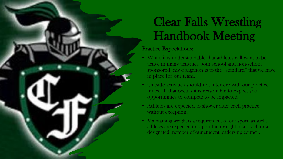#### Practice Expectations:

- While it is understandable that athletes will want to be active in many activities both school and non-school sponsored, my obligation is to the "standard" that we have in place for our team.
- Outside activities should not interfere with our practice times. If that occurs it is reasonable to expect your opportunities to compete to be impacted
- Athletes are expected to shower after each practice without exception.
- Maintaining weight is a requirement of our sport, as such, athletes are expected to report their weight to a coach or a designated member of our student leadership council.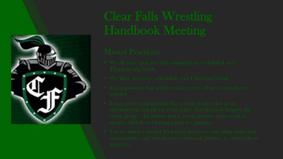

- 
- 
- 
- 
-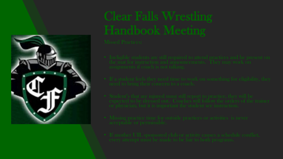

- 
- 
- 
- 
-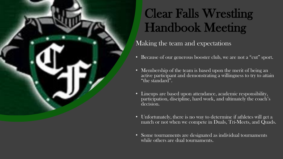### Making the team and expectations

- Because of our generous booster club, we are not a "cut" sport.
- Membership of the team is based upon the merit of being an active participant and demonstrating a willingness to try to attain "the standard".
- Lineups are based upon attendance, academic responsibility, participation, discipline, hard work, and ultimately the coach's decision.
- Unfortunately, there is no way to determine if athletes will get a match or not when we compete in Duals, Tri-Meets, and Quads.
- Some tournaments are designated as individual tournaments while others are dual tournaments.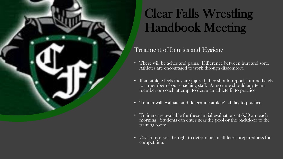#### Treatment of Injuries and Hygiene

- There will be aches and pains. Difference between hurt and sore. Athletes are encouraged to work through discomfort.
- If an athlete feels they are injured, they should report it immediately to a member of our coaching staff. At no time should any team member or coach attempt to deem an athlete fit to practice
- Trainer will evaluate and determine athlete's ability to practice.
- Trainers are available for these initial evaluations at 6:30 am each morning. Students can enter near the pool or the backdoor to the training room.
- Coach reserves the right to determine an athlete's preparedness for competition.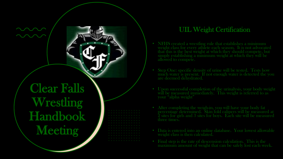|  |  |  |  |  | . |  |
|--|--|--|--|--|---|--|
|  |  |  |  |  | . |  |
|  |  |  |  |  | . |  |
|  |  |  |  |  | . |  |
|  |  |  |  |  | . |  |
|  |  |  |  |  | . |  |
|  |  |  |  |  | . |  |
|  |  |  |  |  | . |  |
|  |  |  |  |  | . |  |
|  |  |  |  |  | . |  |
|  |  |  |  |  | . |  |
|  |  |  |  |  | . |  |
|  |  |  |  |  | . |  |

#### UIL Weight Certification

- NFHS created a wrestling rule that establishes a minimum weight class for every athlete each season. It is not advocated that this is the best weight at which they should compete, but simply establishing a minimum weight at which they will be allowed to compete.
- Step One: specific density of urine will be tested. Tests how much water is present. If not enough water is detected the you
- Upon successful completion of the urinalysis, your body weight will be measured immediately. This weight is referred to as your "alpha weight"
- After completing the weigh-in, you will have your body fat<br>percentage determined. Skin fold calipers will be measured at 2 sites for girls and 3 sites for boys. Each site will be measured three times.
- Data is entered into an online database. Your lowest allowable weight class is then calculated.
- maximum amount of weight that can be safely lost each week.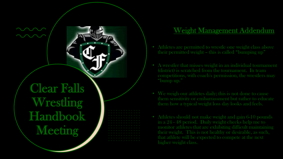|        |  |  |  | . |  |  |  |
|--------|--|--|--|---|--|--|--|
|        |  |  |  | . |  |  |  |
|        |  |  |  | . |  |  |  |
|        |  |  |  | . |  |  |  |
|        |  |  |  | . |  |  |  |
|        |  |  |  | . |  |  |  |
|        |  |  |  | . |  |  |  |
|        |  |  |  | . |  |  |  |
|        |  |  |  | . |  |  |  |
| $\sim$ |  |  |  | . |  |  |  |
|        |  |  |  | . |  |  |  |
|        |  |  |  | . |  |  |  |
|        |  |  |  | . |  |  |  |

### Weight Management Addendum

- Athletes are permitted to wrestle one weight class above their permitted weight – this is called "bumping up"
- A wrestler that misses weight in an individual tournament (district) is scratched from the tournament. In team competitions, with coach's permission, the wrestlers may "bump up."
- We weigh our athletes daily; this is not done to cause them sensitivity or embarrassment but rather to educate them how a typical weight loss day looks and feels.
- Athletes should not make weight and gain 6 -10 pounds in a 24 - 48 period. Daily weight checks help me to monitor athletes that are exhibiting difficult maintaining their weight. This is not healthy or desirable, as such, that athlete will be expected to compete at the next higher weight class.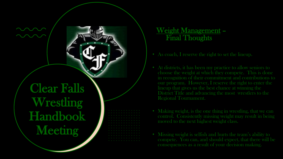Weight Management – Final Thoughts

- As coach, I reserve the right to set the lineup.
- At districts, it has been my practice to allow seniors to choose the weight at which they compete. This is done in recognition of their commitment and contributions to our program. However, I reserve the right to enter the lineup that gives us the best chance at winning the District Title and advancing the most wrestlers to the Regional Tournament.
- Making weight, is the one thing in wrestling, that we can control. Consistently missing weight may result in being moved to the next highest weight class.
- Missing weight is selfish and hurts the team's ability to compete. You can, and should expect, that there will be consequences as a result of your decision making.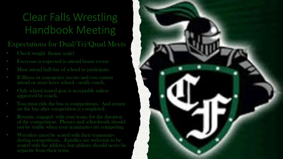### Expectations for Dual/Tri/Quad Meets

- Check weight (home scale)
- Everyone is expected to attend home events
- Must attend half-day of school to participate.
- If illness or emergency occurs and you cannot attend or must leave school - notify coach.
- Only school issued gear is acceptable unless approved by coach.
- You must ride the bus to competitions. And return on the bus after competition is completed.
- Remain, engaged with your team, for the duration of the competition. Phones and schoolwork should not be visible when your teammates are competing.
- Wrestlers must be seated with their teammates during competitions. Families are welcome to be seated with the athletes, but athletes should never be separate from their team.

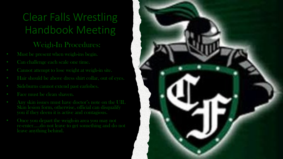#### Weigh-In Procedures:

- Must be present when weigh-ins begin.
- Can challenge each scale one time.
- Cannot attempt to lose weight at weigh-in site.
- Hair should be above dress shirt collar, out of eyes.
- Sideburns cannot extend past earlobes.
- 
- Any skin issues must have doctor's note on the UIL Skin lesion form, otherwise, official can disqualify you if they deem it is active and contagious.
- Once you depart the weigh-in area you may not re-enter…..do not leave to get something and do not leave anything behind.

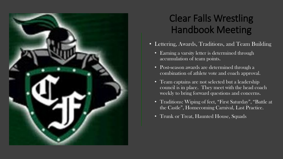

- Lettering, Awards, Traditions, and Team Building
	- Earning a varsity letter is determined through accumulation of team points.
	- Post-season awards are determined through a combination of athlete vote and coach approval.
	- Team captains are not selected but a leadership council is in place. They meet with the head coach weekly to bring forward questions and concerns.
	- Traditions: Wiping of feet, "First Saturday", "Battle at the Castle", Homecoming Carnival, Last Practice.
	- Trunk or Treat, Haunted House, Squads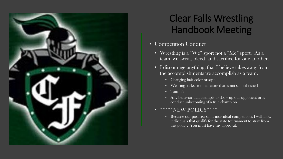

- Competition Conduct
	- Wrestling is a "We" sport not a "Me" sport. As a team, we sweat, bleed, and sacrifice for one another.
	- I discourage anything, that I believe takes away from the accomplishments we accomplish as a team.
		- Changing hair color or style
		- Wearing socks or other attire that is not school issued
		- Tattoo's
		- Any behavior that attempts to show up our opponent or is conduct unbecoming of a true champion

#### \*\*NEW POLICY\*

• Because our post-season is individual competition, I will allow individuals that qualify for the state tournament to stray from this policy. You must have my approval.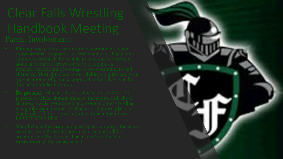- 
- 
- 

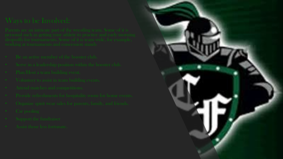- 
- 
- 
- 
- 
- 
- 
- 
- 
-